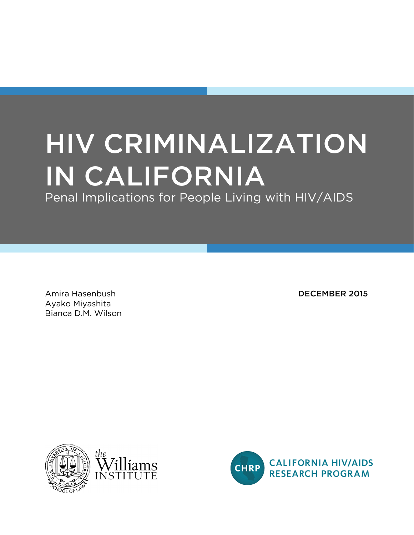# HIV CRIMINALIZATION IN CALIFORNIA

Penal Implications for People Living with HIV/AIDS

Amira Hasenbush **DECEMBER 2015** Ayako Miyashita Bianca D.M. Wilson



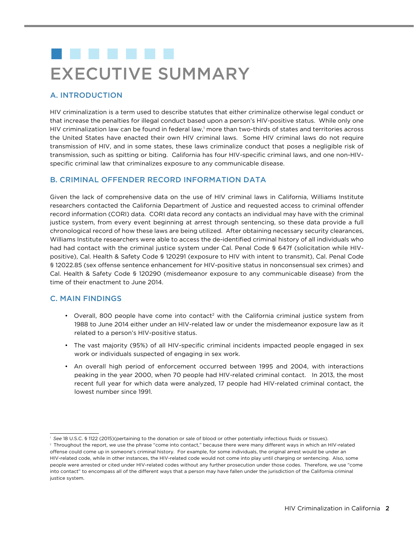# . . . . . . . EXECUTIVE SUMMARY

# A. INTRODUCTION

HIV criminalization is a term used to describe statutes that either criminalize otherwise legal conduct or that increase the penalties for illegal conduct based upon a person's HIV-positive status. While only one HIV criminalization law can be found in federal law,<sup>1</sup> more than two-thirds of states and territories across the United States have enacted their own HIV criminal laws. Some HIV criminal laws do not require transmission of HIV, and in some states, these laws criminalize conduct that poses a negligible risk of transmission, such as spitting or biting. California has four HIV-specific criminal laws, and one non-HIVspecific criminal law that criminalizes exposure to any communicable disease.

## B. CRIMINAL OFFENDER RECORD INFORMATION DATA

Given the lack of comprehensive data on the use of HIV criminal laws in California, Williams Institute researchers contacted the California Department of Justice and requested access to criminal offender record information (CORI) data. CORI data record any contacts an individual may have with the criminal justice system, from every event beginning at arrest through sentencing, so these data provide a full chronological record of how these laws are being utilized. After obtaining necessary security clearances, Williams Institute researchers were able to access the de-identified criminal history of all individuals who had had contact with the criminal justice system under Cal. Penal Code § 647f (solicitation while HIVpositive), Cal. Health & Safety Code § 120291 (exposure to HIV with intent to transmit), Cal. Penal Code § 12022.85 (sex offense sentence enhancement for HIV-positive status in nonconsensual sex crimes) and Cal. Health & Safety Code § 120290 (misdemeanor exposure to any communicable disease) from the time of their enactment to June 2014.

# C. MAIN FINDINGS

- Overall, 800 people have come into contact<sup>2</sup> with the California criminal justice system from 1988 to June 2014 either under an HIV-related law or under the misdemeanor exposure law as it related to a person's HIV-positive status.
- The vast majority (95%) of all HIV-specific criminal incidents impacted people engaged in sex work or individuals suspected of engaging in sex work.
- An overall high period of enforcement occurred between 1995 and 2004, with interactions peaking in the year 2000, when 70 people had HIV-related criminal contact. In 2013, the most recent full year for which data were analyzed, 17 people had HIV-related criminal contact, the lowest number since 1991.

<sup>1</sup> *See* 18 U.S.C. § 1122 (2015)(pertaining to the donation or sale of blood or other potentially infectious fluids or tissues).

<sup>&</sup>lt;sup>2</sup> Throughout the report, we use the phrase "come into contact," because there were many different ways in which an HIV-related offense could come up in someone's criminal history. For example, for some individuals, the original arrest would be under an HIV-related code, while in other instances, the HIV-related code would not come into play until charging or sentencing. Also, some people were arrested or cited under HIV-related codes without any further prosecution under those codes. Therefore, we use "come into contact" to encompass all of the different ways that a person may have fallen under the jurisdiction of the California criminal justice system.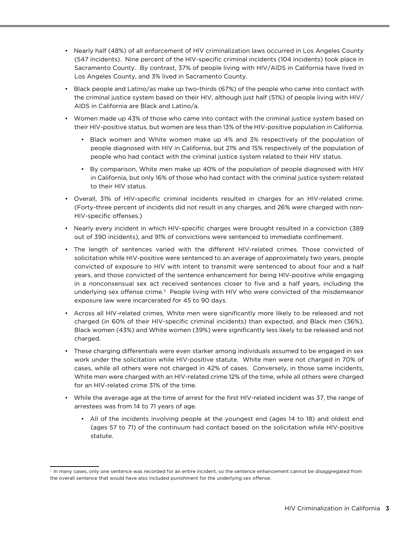- Nearly half (48%) of all enforcement of HIV criminalization laws occurred in Los Angeles County (547 incidents). Nine percent of the HIV-specific criminal incidents (104 incidents) took place in Sacramento County. By contrast, 37% of people living with HIV/AIDS in California have lived in Los Angeles County, and 3% lived in Sacramento County.
- Black people and Latino/as make up two-thirds (67%) of the people who came into contact with the criminal justice system based on their HIV, although just half (51%) of people living with HIV/ AIDS in California are Black and Latino/a.
- Women made up 43% of those who came into contact with the criminal justice system based on their HIV-positive status, but women are less than 13% of the HIV-positive population in California.
	- Black women and White women make up 4% and 3% respectively of the population of people diagnosed with HIV in California, but 21% and 15% respectively of the population of people who had contact with the criminal justice system related to their HIV status.
	- By comparison, White men make up 40% of the population of people diagnosed with HIV in California, but only 16% of those who had contact with the criminal justice system related to their HIV status.
- Overall, 31% of HIV-specific criminal incidents resulted in charges for an HIV-related crime. (Forty-three percent of incidents did not result in any charges, and 26% were charged with non-HIV-specific offenses.)
- Nearly every incident in which HIV-specific charges were brought resulted in a conviction (389 out of 390 incidents), and 91% of convictions were sentenced to immediate confinement.
- The length of sentences varied with the different HIV-related crimes. Those convicted of solicitation while HIV-positive were sentenced to an average of approximately two years, people convicted of exposure to HIV with intent to transmit were sentenced to about four and a half years, and those convicted of the sentence enhancement for being HIV-positive while engaging in a nonconsensual sex act received sentences closer to five and a half years, including the underlying sex offense crime.<sup>3</sup> People living with HIV who were convicted of the misdemeanor exposure law were incarcerated for 45 to 90 days.
- Across all HIV-related crimes, White men were significantly more likely to be released and not charged (in 60% of their HIV-specific criminal incidents) than expected, and Black men (36%), Black women (43%) and White women (39%) were significantly less likely to be released and not charged.
- These charging differentials were even starker among individuals assumed to be engaged in sex work under the solicitation while HIV-positive statute. White men were not charged in 70% of cases, while all others were not charged in 42% of cases. Conversely, in those same incidents, White men were charged with an HIV-related crime 12% of the time, while all others were charged for an HIV-related crime 31% of the time.
- While the average age at the time of arrest for the first HIV-related incident was 37, the range of arrestees was from 14 to 71 years of age.
	- All of the incidents involving people at the youngest end (ages 14 to 18) and oldest end (ages 57 to 71) of the continuum had contact based on the solicitation while HIV-positive statute.

<sup>&</sup>lt;sup>3</sup> In many cases, only one sentence was recorded for an entire incident, so the sentence enhancement cannot be disaggregated from the overall sentence that would have also included punishment for the underlying sex offense.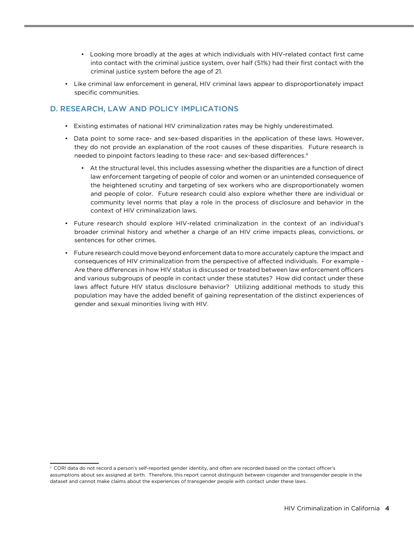- Looking more broadly at the ages at which individuals with HIV-related contact first came into contact with the criminal justice system, over half (51%) had their first contact with the criminal justice system before the age of 21.
- Like criminal law enforcement in general, HIV criminal laws appear to disproportionately impact specific communities.

# D. RESEARCH, LAW AND POLICY IMPLICATIONS

- Existing estimates of national HIV criminalization rates may be highly underestimated.
- Data point to some race- and sex-based disparities in the application of these laws. However, they do not provide an explanation of the root causes of these disparities. Future research is needed to pinpoint factors leading to these race- and sex-based differences.<sup>4</sup>
	- At the structural level, this includes assessing whether the disparities are a function of direct law enforcement targeting of people of color and women or an unintended consequence of the heightened scrutiny and targeting of sex workers who are disproportionately women and people of color. Future research could also explore whether there are individual or community level norms that play a role in the process of disclosure and behavior in the context of HIV criminalization laws.
- Future research should explore HIV-related criminalization in the context of an individual's broader criminal history and whether a charge of an HIV crime impacts pleas, convictions, or sentences for other crimes.
- Future research could move beyond enforcement data to more accurately capture the impact and consequences of HIV criminalization from the perspective of affected individuals. For example - Are there differences in how HIV status is discussed or treated between law enforcement officers and various subgroups of people in contact under these statutes? How did contact under these laws affect future HIV status disclosure behavior? Utilizing additional methods to study this population may have the added benefit of gaining representation of the distinct experiences of gender and sexual minorities living with HIV.

<sup>4</sup> CORI data do not record a person's self-reported gender identity, and often are recorded based on the contact officer's assumptions about sex assigned at birth. Therefore, this report cannot distinguish between cisgender and transgender people in the dataset and cannot make claims about the experiences of transgender people with contact under these laws.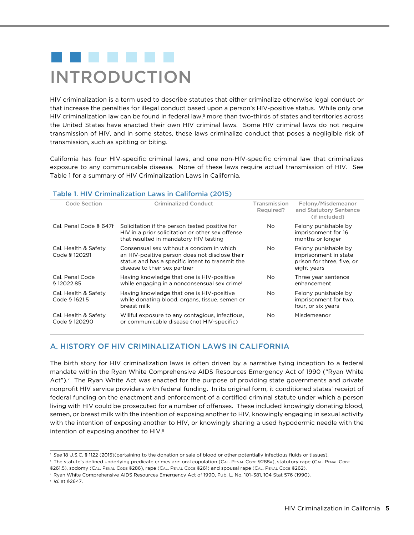# . . . . . . . INTRODUCTION

HIV criminalization is a term used to describe statutes that either criminalize otherwise legal conduct or that increase the penalties for illegal conduct based upon a person's HIV-positive status. While only one HIV criminalization law can be found in federal law,<sup>5</sup> more than two-thirds of states and territories across the United States have enacted their own HIV criminal laws. Some HIV criminal laws do not require transmission of HIV, and in some states, these laws criminalize conduct that poses a negligible risk of transmission, such as spitting or biting.

California has four HIV-specific criminal laws, and one non-HIV-specific criminal law that criminalizes exposure to any communicable disease. None of these laws require actual transmission of HIV. See Table 1 for a summary of HIV Criminalization Laws in California.

#### Table 1. HIV Criminalization Laws in California (2015)

| Code Section                          | <b>Criminalized Conduct</b>                                                                                                                                                    | Transmission<br>Required? | Felony/Misdemeanor<br>and Statutory Sentence<br>(if included)                              |
|---------------------------------------|--------------------------------------------------------------------------------------------------------------------------------------------------------------------------------|---------------------------|--------------------------------------------------------------------------------------------|
| Cal. Penal Code § 647f                | Solicitation if the person tested positive for<br>HIV in a prior solicitation or other sex offense<br>that resulted in mandatory HIV testing                                   | No.                       | Felony punishable by<br>imprisonment for 16<br>months or longer                            |
| Cal. Health & Safety<br>Code § 120291 | Consensual sex without a condom in which<br>an HIV-positive person does not disclose their<br>status and has a specific intent to transmit the<br>disease to their sex partner | No.                       | Felony punishable by<br>imprisonment in state<br>prison for three, five, or<br>eight years |
| Cal. Penal Code<br>\$12022.85         | Having knowledge that one is HIV-positive<br>while engaging in a nonconsensual sex crime <sup>5</sup>                                                                          | No.                       | Three year sentence<br>enhancement                                                         |
| Cal. Health & Safety<br>Code § 1621.5 | Having knowledge that one is HIV-positive<br>while donating blood, organs, tissue, semen or<br>breast milk                                                                     | No.                       | Felony punishable by<br>imprisonment for two.<br>four, or six years                        |
| Cal. Health & Safety<br>Code § 120290 | Willful exposure to any contagious, infectious,<br>or communicable disease (not HIV-specific)                                                                                  | No.                       | Misdemeanor                                                                                |

#### A. HISTORY OF HIV CRIMINALIZATION LAWS IN CALIFORNIA

The birth story for HIV criminalization laws is often driven by a narrative tying inception to a federal mandate within the Ryan White Comprehensive AIDS Resources Emergency Act of 1990 ("Ryan White Act").<sup>7</sup> The Ryan White Act was enacted for the purpose of providing state governments and private nonprofit HIV service providers with federal funding. In its original form, it conditioned states' receipt of federal funding on the enactment and enforcement of a certified criminal statute under which a person living with HIV could be prosecuted for a number of offenses. These included knowingly donating blood, semen, or breast milk with the intention of exposing another to HIV, knowingly engaging in sexual activity with the intention of exposing another to HIV, or knowingly sharing a used hypodermic needle with the intention of exposing another to HIV.<sup>8</sup>

<sup>5</sup> *See* 18 U.S.C. § 1122 (2015)(pertaining to the donation or sale of blood or other potentially infectious fluids or tissues).

<sup>&</sup>lt;sup>6</sup> The statute's defined underlying predicate crimes are: oral copulation (CAL. PENAL CODE §288A), statutory rape (CAL. PENAL CODE

<sup>§261.5),</sup> sodomy (CAL. PENAL CODE §286), rape (CAL. PENAL CODE §261) and spousal rape (CAL. PENAL CODE §262).

<sup>7</sup> Ryan White Comprehensive AIDS Resources Emergency Act of 1990, Pub. L. No. 101–381, 104 Stat 576 (1990).

<sup>8</sup> *Id.* at §2647.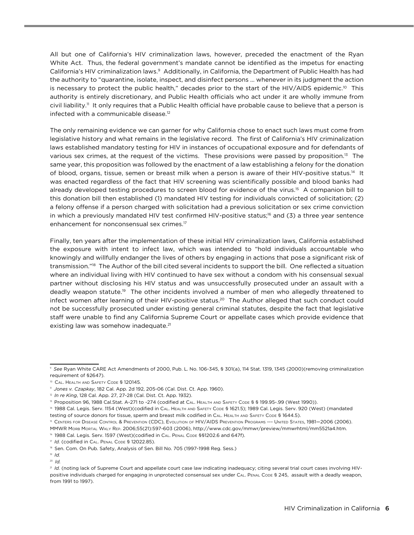All but one of California's HIV criminalization laws, however, preceded the enactment of the Ryan White Act. Thus, the federal government's mandate cannot be identified as the impetus for enacting California's HIV criminalization laws.9 Additionally, in California, the Department of Public Health has had the authority to "quarantine, isolate, inspect, and disinfect persons … whenever in its judgment the action is necessary to protect the public health," decades prior to the start of the HIV/AIDS epidemic.10 This authority is entirely discretionary, and Public Health officials who act under it are wholly immune from civil liability.<sup>11</sup> It only requires that a Public Health official have probable cause to believe that a person is infected with a communicable disease.12

The only remaining evidence we can garner for why California chose to enact such laws must come from legislative history and what remains in the legislative record. The first of California's HIV criminalization laws established mandatory testing for HIV in instances of occupational exposure and for defendants of various sex crimes, at the request of the victims. These provisions were passed by proposition.13 The same year, this proposition was followed by the enactment of a law establishing a felony for the donation of blood, organs, tissue, semen or breast milk when a person is aware of their HIV-positive status.14 It was enacted regardless of the fact that HIV screening was scientifically possible and blood banks had already developed testing procedures to screen blood for evidence of the virus.<sup>15</sup> A companion bill to this donation bill then established (1) mandated HIV testing for individuals convicted of solicitation; (2) a felony offense if a person charged with solicitation had a previous solicitation or sex crime conviction in which a previously mandated HIV test confirmed HIV-positive status;<sup>16</sup> and (3) a three year sentence enhancement for nonconsensual sex crimes.<sup>17</sup>

Finally, ten years after the implementation of these initial HIV criminalization laws, California established the exposure with intent to infect law, which was intended to "hold individuals accountable who knowingly and willfully endanger the lives of others by engaging in actions that pose a significant risk of transmission."18 The Author of the bill cited several incidents to support the bill. One reflected a situation where an individual living with HIV continued to have sex without a condom with his consensual sexual partner without disclosing his HIV status and was unsuccessfully prosecuted under an assault with a deadly weapon statute.19 The other incidents involved a number of men who allegedly threatened to infect women after learning of their HIV-positive status.<sup>20</sup> The Author alleged that such conduct could not be successfully prosecuted under existing general criminal statutes, despite the fact that legislative staff were unable to find any California Supreme Court or appellate cases which provide evidence that existing law was somehow inadequate.<sup>21</sup>

<sup>9</sup> *See* Ryan White CARE Act Amendments of 2000, Pub. L. No. 106-345, § 301(a), 114 Stat. 1319, 1345 (2000)(removing criminalization requirement of §2647).

<sup>10</sup> Cal. Health and Safety Code § 120145.

<sup>11</sup> *Jones v. Czapkay*, 182 Cal. App. 2d 192, 205-06 (Cal. Dist. Ct. App. 1960).

<sup>&</sup>lt;sup>12</sup> *In re King*, 128 Cal. App. 27, 27-28 (Cal. Dist. Ct. App. 1932).

<sup>&</sup>lt;sup>13</sup> Proposition 96, 1988 Cal.Stat. A-271 to -274 (codified at CAL. HEALTH AND SAFETY CoDE § § 199.95-.99 (West 1990)).

<sup>14 1988</sup> Cal. Legis. Serv. 1154 (West)(codified in CAL. HEALTH AND SAFETY CODE § 1621.5); 1989 Cal. Legis. Serv. 920 (West) (mandated testing of source donors for tissue, sperm and breast milk codified in Cal. Health and Safety Code § 1644.5).

<sup>&</sup>lt;sup>15</sup> CENTERS FOR DISEASE CONTROL & PREVENTION (CDC), EVOLUTION OF HIV/AIDS PREVENTION PROGRAMS --- UNITED STATES, 1981-2006 (2006). MMWR Morb Mortal Wkly Rep. 2006;55(21):597-603 (2006), [http://www.cdc.gov/mmwr/preview/mmwrhtml/mm5521a4.htm.](http://www.cdc.gov/mmwr/preview/mmwrhtml/mm5521a4.htm)

<sup>&</sup>lt;sup>16</sup> 1988 Cal. Legis. Serv. 1597 (West)(codified in CAL. PENAL CoDE §§1202.6 and 647f).

<sup>&</sup>lt;sup>17</sup> *Id.* (codified in CAL. PENAL CODE § 12022.85).

<sup>&</sup>lt;sup>18</sup> Sen. Com. On Pub. Safety, Analysis of Sen. Bill No. 705 (1997-1998 Reg. Sess.)

<sup>19</sup> *Id.*

<sup>20</sup> *Id.*

<sup>&</sup>lt;sup>21</sup> *Id.* (noting lack of Supreme Court and appellate court case law indicating inadequacy; citing several trial court cases involving HIVpositive individuals charged for engaging in unprotected consensual sex under CAL. PENAL CODE § 245, assault with a deadly weapon, from 1991 to 1997).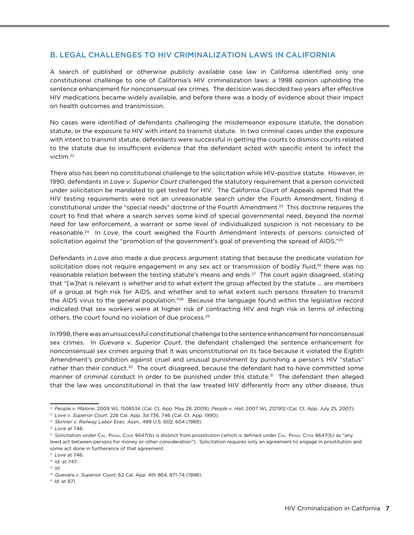### B. LEGAL CHALLENGES TO HIV CRIMINALIZATION LAWS IN CALIFORNIA

A search of published or otherwise publicly available case law in California identified only one constitutional challenge to one of California's HIV criminalization laws: a 1998 opinion upholding the sentence enhancement for nonconsensual sex crimes. The decision was decided two years after effective HIV medications became widely available, and before there was a body of evidence about their impact on health outcomes and transmission.

No cases were identified of defendants challenging the misdemeanor exposure statute, the donation statute, or the exposure to HIV with intent to transmit statute. In two criminal cases under the exposure with intent to transmit statute, defendants were successful in getting the courts to dismiss counts related to the statute due to insufficient evidence that the defendant acted with specific intent to infect the victim.22

There also has been no constitutional challenge to the solicitation while HIV-positive statute. However, in 1990, defendants in *Love v. Superior Court* challenged the statutory requirement that a person convicted under solicitation be mandated to get tested for HIV. The California Court of Appeals opined that the HIV testing requirements were not an unreasonable search under the Fourth Amendment, finding it constitutional under the "special needs" doctrine of the Fourth Amendment.23 This doctrine requires the court to find that where a search serves some kind of special governmental need, beyond the normal need for law enforcement, a warrant or some level of individualized suspicion is not necessary to be reasonable.24 In *Love*, the court weighed the Fourth Amendment interests of persons convicted of solicitation against the "promotion of the government's goal of preventing the spread of AIDS."<sup>25</sup>

Defendants in *Love* also made a due process argument stating that because the predicate violation for solicitation does not require engagement in any sex act or transmission of bodily fluid,<sup>26</sup> there was no reasonable relation between the testing statute's means and ends.<sup>27</sup> The court again disagreed, stating that "[w]hat is relevant is whether and to what extent the group affected by the statute ... are members of a group at high risk for AIDS, and whether and to what extent such persons threaten to transmit the AIDS virus to the general population."<sup>28</sup> Because the language found within the legislative record indicated that sex workers were at higher risk of contracting HIV and high risk in terms of infecting others, the court found no violation of due process.29

In 1998, there was an unsuccessful constitutional challenge to the sentence enhancement for nonconsensual sex crimes. In *Guevara v. Superior Court*, the defendant challenged the sentence enhancement for nonconsensual sex crimes arguing that it was unconstitutional on its face because it violated the Eighth Amendment's prohibition against cruel and unusual punishment by punishing a person's HIV "status" rather than their conduct.<sup>30</sup> The court disagreed, because the defendant had to have committed some manner of criminal conduct in order to be punished under this statute.<sup>31</sup> The defendant then alleged that the law was unconstitutional in that the law treated HIV differently from any other disease, thus

<sup>22</sup> *People v. Malone*, 2009 WL 1508534 (Cal. Ct. App. May 28, 2009); *People v. Hall*, 2007 WL 2121912 (Cal. Ct. App. July 25, 2007).

<sup>23</sup> *Love v. Superior Court*, 226 Cal. App. 3d 736, 746 (Cal. Ct. App. 1990).

<sup>24</sup> *Skinner v. Railway Labor Exec. Assn.*, 489 U.S. 602, 604 (1989).

<sup>25</sup> *Love at* 746.

<sup>&</sup>lt;sup>26</sup> Solicitation under CAL. PENAL Code §647(b) is distinct from prostitution (which is defined under CAL. PENAL Code §647(b) as "any lewd act between persons for money or other consideration"). Solicitation requires only an agreement to engage in prostitution and some act done in furtherance of that agreement.

<sup>27</sup> *Love* at 746.

<sup>28</sup> *Id.* at 747.

<sup>29</sup> *Id.*

<sup>30</sup> *Guevara v. Superior Court*, 62 Cal. App. 4th 864, 871-74 (1998).

<sup>31</sup> *Id.* at 871.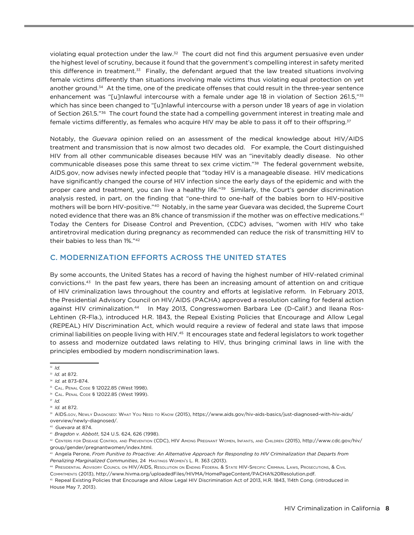violating equal protection under the law.32 The court did not find this argument persuasive even under the highest level of scrutiny, because it found that the government's compelling interest in safety merited this difference in treatment.33 Finally, the defendant argued that the law treated situations involving female victims differently than situations involving male victims thus violating equal protection on yet another ground.<sup>34</sup> At the time, one of the predicate offenses that could result in the three-year sentence enhancement was "[u]nlawful intercourse with a female under age 18 in violation of Section 261.5,"35 which has since been changed to "[u]nlawful intercourse with a person under 18 years of age in violation of Section 261.5."36 The court found the state had a compelling government interest in treating male and female victims differently, as females who acquire HIV may be able to pass it off to their offspring.37

Notably, the *Guevara* opinion relied on an assessment of the medical knowledge about HIV/AIDS treatment and transmission that is now almost two decades old. For example, the Court distinguished HIV from all other communicable diseases because HIV was an "inevitably deadly disease. No other communicable diseases pose this same threat to sex crime victim."38 The federal government website, AIDS.gov, now advises newly infected people that "today HIV is a manageable disease. HIV medications have significantly changed the course of HIV infection since the early days of the epidemic and with the proper care and treatment, you can live a healthy life."39 Similarly, the Court's gender discrimination analysis rested, in part, on the finding that "one-third to one-half of the babies born to HIV-positive mothers will be born HIV-positive."40 Notably, in the same year Guevara was decided, the Supreme Court noted evidence that there was an 8% chance of transmission if the mother was on effective medications.41 Today the Centers for Disease Control and Prevention, (CDC) advises, "women with HIV who take antiretroviral medication during pregnancy as recommended can reduce the risk of transmitting HIV to their babies to less than 1%."42

### C. MODERNIZATION EFFORTS ACROSS THE UNITED STATES

By some accounts, the United States has a record of having the highest number of HIV-related criminal convictions.43 In the past few years, there has been an increasing amount of attention on and critique of HIV criminalization laws throughout the country and efforts at legislative reform. In February 2013, the Presidential Advisory Council on HIV/AIDS (PACHA) approved a resolution calling for federal action against HIV criminalization.44 In May 2013, Congresswomen Barbara Lee (D-Calif.) and Ileana Ros-Lehtinen (R-Fla.), introduced H.R. 1843, the Repeal Existing Policies that Encourage and Allow Legal (REPEAL) HIV Discrimination Act, which would require a review of federal and state laws that impose criminal liabilities on people living with HIV.45 It encourages state and federal legislators to work together to assess and modernize outdated laws relating to HIV, thus bringing criminal laws in line with the principles embodied by modern nondiscrimination laws.

<sup>32</sup> *Id.*

<sup>33</sup> *Id.* at 872.

<sup>34</sup> *Id.* at 873-874.

<sup>35</sup> Cal. Penal Code § 12022.85 (West 1998).

<sup>36</sup> Cal. Penal Code § 12022.85 (West 1999).

<sup>37</sup> *Id.*

<sup>38</sup> *Id.* at 872.

<sup>39</sup> AIDS.Gov, NewLY DIAGNOSED: WHAT YOU NEED TO KNOW (2015), [https://www.aids.gov/hiv-aids-basics/just-diagnosed-with-hiv-aids/](https://www.aids.gov/hiv-aids-basics/just-diagnosed-with-hiv-aids/overview/newly-diagnosed/) [overview/newly-diagnosed/](https://www.aids.gov/hiv-aids-basics/just-diagnosed-with-hiv-aids/overview/newly-diagnosed/).

<sup>40</sup> *Guevara* at 874.

<sup>41</sup> *Bragdon v. Abbott*, 524 U.S. 624, 626 (1998).

<sup>42</sup> Centers for Disease Control and Prevention (CDC), HIV Among Pregnant Women, Infants, and Children (2015), [http://www.cdc.gov/hiv/](http://www.cdc.gov/hiv/group/gender/pregnantwomen/index.html) [group/gender/pregnantwomen/index.html](http://www.cdc.gov/hiv/group/gender/pregnantwomen/index.html).

<sup>43</sup> Angela Perone, *From Punitive to Proactive: An Alternative Approach for Responding to HIV Criminalization that Departs from Penalizing Marginalized Communities*, 24 Hastings Women's L. R. 363 (2013).

<sup>44</sup> Presidential Advisory Council on HIV/AIDS, Resolution on Ending Federal & State HIV-Specific Criminal Laws, Prosecutions, & Civil Commitments (2013),<http://www.hivma.org/uploadedFiles/HIVMA/HomePageContent/PACHA%20Resolution.pdf>.

<sup>45</sup> Repeal Existing Policies that Encourage and Allow Legal HIV Discrimination Act of 2013, H.R. 1843, 114th Cong. (introduced in House May 7, 2013).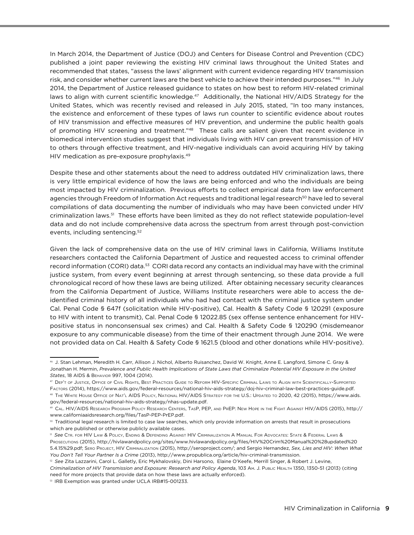In March 2014, the Department of Justice (DOJ) and Centers for Disease Control and Prevention (CDC) published a joint paper reviewing the existing HIV criminal laws throughout the United States and recommended that states, "assess the laws' alignment with current evidence regarding HIV transmission risk, and consider whether current laws are the best vehicle to achieve their intended purposes."46 In July 2014, the Department of Justice released guidance to states on how best to reform HIV-related criminal laws to align with current scientific knowledge.<sup>47</sup> Additionally, the National HIV/AIDS Strategy for the United States, which was recently revised and released in July 2015, stated, "In too many instances, the existence and enforcement of these types of laws run counter to scientific evidence about routes of HIV transmission and effective measures of HIV prevention, and undermine the public health goals of promoting HIV screening and treatment."48 These calls are salient given that recent evidence in biomedical intervention studies suggest that individuals living with HIV can prevent transmission of HIV to others through effective treatment, and HIV-negative individuals can avoid acquiring HIV by taking HIV medication as pre-exposure prophylaxis.<sup>49</sup>

Despite these and other statements about the need to address outdated HIV criminalization laws, there is very little empirical evidence of how the laws are being enforced and who the individuals are being most impacted by HIV criminalization. Previous efforts to collect empirical data from law enforcement agencies through Freedom of Information Act requests and traditional legal research<sup>50</sup> have led to several compilations of data documenting the number of individuals who may have been convicted under HIV criminalization laws.51 These efforts have been limited as they do not reflect statewide population-level data and do not include comprehensive data across the spectrum from arrest through post-conviction events, including sentencing.52

Given the lack of comprehensive data on the use of HIV criminal laws in California, Williams Institute researchers contacted the California Department of Justice and requested access to criminal offender record information (CORI) data.53 CORI data record any contacts an individual may have with the criminal justice system, from every event beginning at arrest through sentencing, so these data provide a full chronological record of how these laws are being utilized. After obtaining necessary security clearances from the California Department of Justice, Williams Institute researchers were able to access the deidentified criminal history of all individuals who had had contact with the criminal justice system under Cal. Penal Code § 647f (solicitation while HIV-positive), Cal. Health & Safety Code § 120291 (exposure to HIV with intent to transmit), Cal. Penal Code § 12022.85 (sex offense sentence enhancement for HIVpositive status in nonconsensual sex crimes) and Cal. Health & Safety Code § 120290 (misdemeanor exposure to any communicable disease) from the time of their enactment through June 2014. We were not provided data on Cal. Health & Safety Code § 1621.5 (blood and other donations while HIV-positive).

<sup>46</sup> J. Stan Lehman, Meredith H. Carr, Allison J. Nichol, Alberto Ruisanchez, David W. Knight, Anne E. Langford, Simone C. Gray & Jonathan H. Mermin, *Prevalence and Public Health Implications of State Laws that Criminalize Potential HIV Exposure in the United States*, 18 AIDS & Behavior 997, 1004 (2014).

<sup>47</sup> Dep't of Justice, Office of Civil Rights, Best Practices Guide to Reform HIV-Specific Criminal Laws to Align with Scientifically-Supported Factors (2014),<https://www.aids.gov/federal-resources/national-hiv-aids-strategy/doj-hiv-criminal-law-best-practices-guide.pdf>.

<sup>48</sup> The White House Office of Nat'l AIDS Policy, National HIV/AIDS Strategy for the U.S.: Updated to 2020, 42 (2015), [https://www.aids.](https://www.aids.gov/federal-resources/national-hiv-aids-strategy/nhas-update.pdf) [gov/federal-resources/national-hiv-aids-strategy/nhas-update.pdf.](https://www.aids.gov/federal-resources/national-hiv-aids-strategy/nhas-update.pdf)

<sup>49</sup> Cal. HIV/AIDS Research Program Policy Research Centers, TasP, PEP, and PrEP: New Hope in the Fight Against HIV/AIDS (2015), [http://](http://www.californiaaidsresearch.org/files/TasP-PEP-PrEP.pdf) [www.californiaaidsresearch.org/files/TasP-PEP-PrEP.pdf](http://www.californiaaidsresearch.org/files/TasP-PEP-PrEP.pdf).

<sup>50</sup> Traditional legal research is limited to case law searches, which only provide information on arrests that result in prosecutions which are published or otherwise publicly available cases.

<sup>51</sup> *See* Ctr. for HIV Law & Policy, Ending & Defending Against HIV Criminalization A Manual For Advocates: State & Federal Laws & Prosecutions (2015), [http://hivlawandpolicy.org/sites/www.hivlawandpolicy.org/files/HIV%20Crim%20Manual%20%28updated%20](http://hivlawandpolicy.org/sites/www.hivlawandpolicy.org/files/HIV%20Crim%20Manual%20%28updated%205.4.15%29.pdf) [5.4.15%29.pdf](http://hivlawandpolicy.org/sites/www.hivlawandpolicy.org/files/HIV%20Crim%20Manual%20%28updated%205.4.15%29.pdf); Sero Project, HIV Criminalization (2015),<http://seroproject.com/>; and Sergio Hernandez, *Sex, Lies and HIV: When What You Don't Tell Your Partner Is a Crime* (2013), [http://www.propublica.org/article/hiv-criminal-transmission.](http://www.propublica.org/article/hiv-criminal-transmission)

<sup>52</sup> *See* Zita Lazzarini, Carol L. Galletly, Eric Mykhalovskiy, Dini Harsono, Elaine O'Keefe, Merrill Singer, & Robert J. Levine, *Criminalization of HIV Transmission and Exposure: Research and Policy Agenda*, 103 Am. J. Public Health 1350, 1350-51 (2013) (citing need for more projects that provide data on how these laws are actually enforced).

<sup>&</sup>lt;sup>53</sup> IRB Exemption was granted under UCLA IRB#15-001233.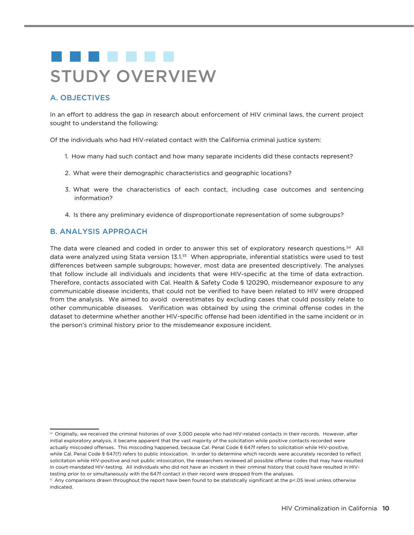# . . . . . . . STUDY OVERVIEW

## A. OBJECTIVES

In an effort to address the gap in research about enforcement of HIV criminal laws, the current project sought to understand the following:

Of the individuals who had HIV-related contact with the California criminal justice system:

- 1. How many had such contact and how many separate incidents did these contacts represent?
- 2. What were their demographic characteristics and geographic locations?
- 3. What were the characteristics of each contact, including case outcomes and sentencing information?
- 4. Is there any preliminary evidence of disproportionate representation of some subgroups?

## B. ANALYSIS APPROACH

The data were cleaned and coded in order to answer this set of exploratory research questions.54 All data were analyzed using Stata version 13.1.55 When appropriate, inferential statistics were used to test differences between sample subgroups; however, most data are presented descriptively. The analyses that follow include all individuals and incidents that were HIV-specific at the time of data extraction. Therefore, contacts associated with Cal. Health & Safety Code § 120290, misdemeanor exposure to any communicable disease incidents, that could not be verified to have been related to HIV were dropped from the analysis. We aimed to avoid overestimates by excluding cases that could possibly relate to other communicable diseases. Verification was obtained by using the criminal offense codes in the dataset to determine whether another HIV-specific offense had been identified in the same incident or in the person's criminal history prior to the misdemeanor exposure incident.

<sup>54</sup> Originally, we received the criminal histories of over 3,000 people who had HIV-related contacts in their records. However, after initial exploratory analysis, it became apparent that the vast majority of the solicitation while positive contacts recorded were actually miscoded offenses. This miscoding happened, because Cal. Penal Code § 647f refers to solicitation while HIV-positive, while Cal. Penal Code § 647(f) refers to public intoxication. In order to determine which records were accurately recorded to reflect solicitation while HIV-positive and not public intoxication, the researchers reviewed all possible offense codes that may have resulted in court-mandated HIV-testing. All individuals who did not have an incident in their criminal history that could have resulted in HIVtesting prior to or simultaneously with the 647f contact in their record were dropped from the analyses.

<sup>55</sup> Any comparisons drawn throughout the report have been found to be statistically significant at the p<.05 level unless otherwise indicated.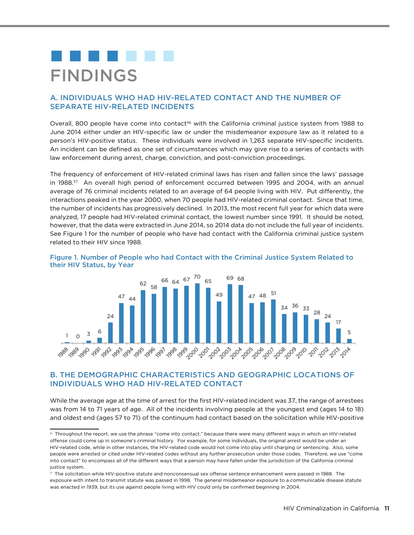# FINDINGS

## A. INDIVIDUALS WHO HAD HIV-RELATED CONTACT AND THE NUMBER OF SEPARATE HIV-RELATED INCIDENTS

Overall, 800 people have come into contact<sup>56</sup> with the California criminal justice system from 1988 to June 2014 either under an HIV-specific law or under the misdemeanor exposure law as it related to a person's HIV-positive status. These individuals were involved in 1,263 separate HIV-specific incidents. An incident can be defined as one set of circumstances which may give rise to a series of contacts with law enforcement during arrest, charge, conviction, and post-conviction proceedings.

The frequency of enforcement of HIV-related criminal laws has risen and fallen since the laws' passage in 1988.<sup>57</sup> An overall high period of enforcement occurred between 1995 and 2004, with an annual average of 76 criminal incidents related to an average of 64 people living with HIV. Put differently, the interactions peaked in the year 2000, when 70 people had HIV-related criminal contact. Since that time, the number of incidents has progressively declined. In 2013, the most recent full year for which data were analyzed, 17 people had HIV-related criminal contact, the lowest number since 1991. It should be noted, however, that the data were extracted in June 2014, so 2014 data do not include the full year of incidents. See Figure 1 for the number of people who have had contact with the California criminal justice system related to their HIV since 1988.





## B. THE DEMOGRAPHIC CHARACTERISTICS AND GEOGRAPHIC LOCATIONS OF INDIVIDUALS WHO HAD HIV-RELATED CONTACT

While the average age at the time of arrest for the first HIV-related incident was 37, the range of arrestees was from 14 to 71 years of age. All of the incidents involving people at the youngest end (ages 14 to 18) and oldest end (ages 57 to 71) of the continuum had contact based on the solicitation while HIV-positive

<sup>56</sup> Throughout the report, we use the phrase "come into contact," because there were many different ways in which an HIV-related offense could come up in someone's criminal history. For example, for some individuals, the original arrest would be under an HIV-related code, while in other instances, the HIV-related code would not come into play until charging or sentencing. Also, some people were arrested or cited under HIV-related codes without any further prosecution under those codes. Therefore, we use "come into contact" to encompass all of the different ways that a person may have fallen under the jurisdiction of the California criminal justice system.

<sup>57</sup> The solicitation while HIV-positive statute and nonconsensual sex offense sentence enhancement were passed in 1988. The exposure with intent to transmit statute was passed in 1998. The general misdemeanor exposure to a communicable disease statute was enacted in 1939, but its use against people living with HIV could only be confirmed beginning in 2004.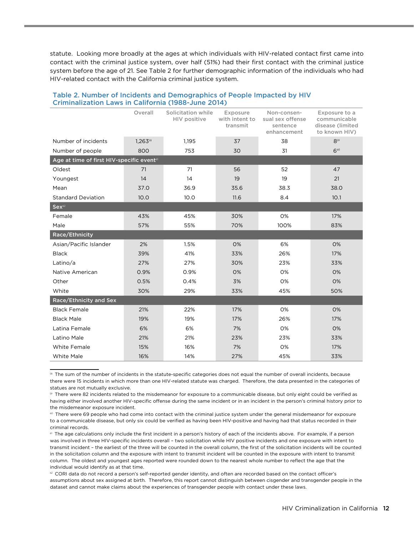statute. Looking more broadly at the ages at which individuals with HIV-related contact first came into contact with the criminal justice system, over half (51%) had their first contact with the criminal justice system before the age of 21. See Table 2 for further demographic information of the individuals who had HIV-related contact with the California criminal justice system.

|                                                       | Overall | Solicitation while<br>HIV positive | Exposure<br>with intent to<br>transmit | Non-consen-<br>sual sex offense<br>sentence<br>enhancement | Exposure to a<br>communicable<br>disease (limited<br>to known HIV) |
|-------------------------------------------------------|---------|------------------------------------|----------------------------------------|------------------------------------------------------------|--------------------------------------------------------------------|
| Number of incidents                                   | 1,26358 | 1,195                              | 37                                     | 38                                                         | $8^{59}$                                                           |
| Number of people                                      | 800     | 753                                | 30                                     | 31                                                         | $6^{60}$                                                           |
| Age at time of first HIV-specific event <sup>61</sup> |         |                                    |                                        |                                                            |                                                                    |
| Oldest                                                | 71      | 71                                 | 56                                     | 52                                                         | 47                                                                 |
| Youngest                                              | 14      | 14                                 | 19                                     | 19                                                         | 21                                                                 |
| Mean                                                  | 37.0    | 36.9                               | 35.6                                   | 38.3                                                       | 38.0                                                               |
| <b>Standard Deviation</b>                             | 10.0    | 10.0                               | 11.6                                   | 8.4                                                        | 10.1                                                               |
| $\mathsf{Sex}^{\scriptscriptstyle 62}$                |         |                                    |                                        |                                                            |                                                                    |
| Female                                                | 43%     | 45%                                | 30%                                    | 0%                                                         | 17%                                                                |
| Male                                                  | 57%     | 55%                                | 70%                                    | 100%                                                       | 83%                                                                |
| Race/Ethnicity                                        |         |                                    |                                        |                                                            |                                                                    |
| Asian/Pacific Islander                                | 2%      | 1.5%                               | 0%                                     | 6%                                                         | 0%                                                                 |
| <b>Black</b>                                          | 39%     | 41%                                | 33%                                    | 26%                                                        | 17%                                                                |
| Latino/a                                              | 27%     | 27%                                | 30%                                    | 23%                                                        | 33%                                                                |
| Native American                                       | 0.9%    | 0.9%                               | 0%                                     | 0%                                                         | 0%                                                                 |
| Other                                                 | 0.5%    | 0.4%                               | 3%                                     | 0%                                                         | 0%                                                                 |
| White                                                 | 30%     | 29%                                | 33%                                    | 45%                                                        | 50%                                                                |
| Race/Ethnicity and Sex                                |         |                                    |                                        |                                                            |                                                                    |
| <b>Black Female</b>                                   | 21%     | 22%                                | 17%                                    | 0%                                                         | 0%                                                                 |
| <b>Black Male</b>                                     | 19%     | 19%                                | 17%                                    | 26%                                                        | 17%                                                                |
| Latina Female                                         | 6%      | 6%                                 | 7%                                     | 0%                                                         | 0%                                                                 |
| Latino Male                                           | 21%     | 21%                                | 23%                                    | 23%                                                        | 33%                                                                |
| White Female                                          | 15%     | 16%                                | 7%                                     | 0%                                                         | 17%                                                                |
| <b>White Male</b>                                     | 16%     | 14%                                | 27%                                    | 45%                                                        | 33%                                                                |

#### Table 2. Number of Incidents and Demographics of People Impacted by HIV Criminalization Laws in California (1988-June 2014)

<sup>58</sup> The sum of the number of incidents in the statute-specific categories does not equal the number of overall incidents, because there were 15 incidents in which more than one HIV-related statute was charged. Therefore, the data presented in the categories of statues are not mutually exclusive.

<sup>59</sup> There were 82 incidents related to the misdemeanor for exposure to a communicable disease, but only eight could be verified as having either involved another HIV-specific offense during the same incident or in an incident in the person's criminal history prior to the misdemeanor exposure incident.

<sup>60</sup> There were 69 people who had come into contact with the criminal justice system under the general misdemeanor for exposure to a communicable disease, but only six could be verified as having been HIV-positive and having had that status recorded in their criminal records.

<sup>61</sup> The age calculations only include the first incident in a person's history of each of the incidents above. For example, if a person was involved in three HIV-specific incidents overall – two solicitation while HIV positive incidents and one exposure with intent to transmit incident – the earliest of the three will be counted in the overall column, the first of the solicitation incidents will be counted in the solicitation column and the exposure with intent to transmit incident will be counted in the exposure with intent to transmit column. The oldest and youngest ages reported were rounded down to the nearest whole number to reflect the age that the individual would identify as at that time.

<sup>62</sup> CORI data do not record a person's self-reported gender identity, and often are recorded based on the contact officer's assumptions about sex assigned at birth. Therefore, this report cannot distinguish between cisgender and transgender people in the dataset and cannot make claims about the experiences of transgender people with contact under these laws.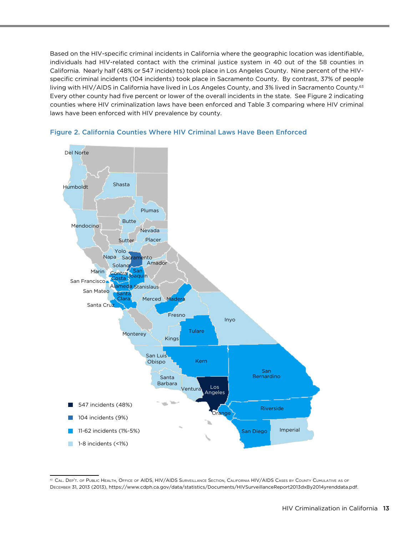Based on the HIV-specific criminal incidents in California where the geographic location was identifiable, individuals had HIV-related contact with the criminal justice system in 40 out of the 58 counties in California. Nearly half (48% or 547 incidents) took place in Los Angeles County. Nine percent of the HIVspecific criminal incidents (104 incidents) took place in Sacramento County. By contrast, 37% of people living with HIV/AIDS in California have lived in Los Angeles County, and 3% lived in Sacramento County.<sup>63</sup> Every other county had five percent or lower of the overall incidents in the state. See Figure 2 indicating counties where HIV criminalization laws have been enforced and Table 3 comparing where HIV criminal laws have been enforced with HIV prevalence by county.





<sup>&</sup>lt;sup>63</sup> Cal. Dep't. of Public Health, Office of AIDS, HIV/AIDS Surveillance Section, California HIV/AIDS Cases by County Cumulative as of December 31, 2013 (2013), <https://www.cdph.ca.gov/data/statistics/Documents/HIVSurveillanceReport2013dxBy2014yrenddata.pdf>.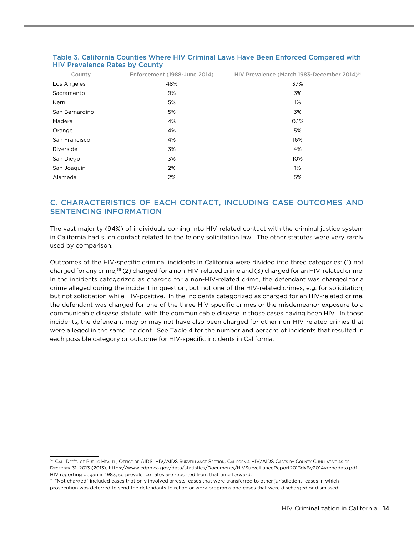| County         | Enforcement (1988-June 2014) | HIV Prevalence (March 1983-December 2014) <sup>64</sup> |
|----------------|------------------------------|---------------------------------------------------------|
| Los Angeles    | 48%                          | 37%                                                     |
| Sacramento     | 9%                           | 3%                                                      |
| Kern           | 5%                           | 1%                                                      |
| San Bernardino | 5%                           | 3%                                                      |
| Madera         | 4%                           | 0.1%                                                    |
| Orange         | 4%                           | 5%                                                      |
| San Francisco  | 4%                           | 16%                                                     |
| Riverside      | 3%                           | 4%                                                      |
| San Diego      | 3%                           | 10%                                                     |
| San Joaquin    | 2%                           | 1%                                                      |
| Alameda        | 2%                           | 5%                                                      |

#### Table 3. California Counties Where HIV Criminal Laws Have Been Enforced Compared with HIV Prevalence Rates by County

# C. CHARACTERISTICS OF EACH CONTACT, INCLUDING CASE OUTCOMES AND SENTENCING INFORMATION

The vast majority (94%) of individuals coming into HIV-related contact with the criminal justice system in California had such contact related to the felony solicitation law. The other statutes were very rarely used by comparison.

Outcomes of the HIV-specific criminal incidents in California were divided into three categories: (1) not charged for any crime,<sup>65</sup> (2) charged for a non-HIV-related crime and (3) charged for an HIV-related crime. In the incidents categorized as charged for a non-HIV-related crime, the defendant was charged for a crime alleged during the incident in question, but not one of the HIV-related crimes, e.g. for solicitation, but not solicitation while HIV-positive. In the incidents categorized as charged for an HIV-related crime, the defendant was charged for one of the three HIV-specific crimes or the misdemeanor exposure to a communicable disease statute, with the communicable disease in those cases having been HIV. In those incidents, the defendant may or may not have also been charged for other non-HIV-related crimes that were alleged in the same incident. See Table 4 for the number and percent of incidents that resulted in each possible category or outcome for HIV-specific incidents in California.

<sup>64</sup> Cal. Dep't. of Public Health, Office of AIDS, HIV/AIDS Surveillance Section, California HIV/AIDS Cases by County Cumulative as of December 31, 2013 (2013), <https://www.cdph.ca.gov/data/statistics/Documents/HIVSurveillanceReport2013dxBy2014yrenddata.pdf>. HIV reporting began in 1983, so prevalence rates are reported from that time forward.

<sup>&</sup>lt;sup>65</sup> "Not charged" included cases that only involved arrests, cases that were transferred to other jurisdictions, cases in which prosecution was deferred to send the defendants to rehab or work programs and cases that were discharged or dismissed.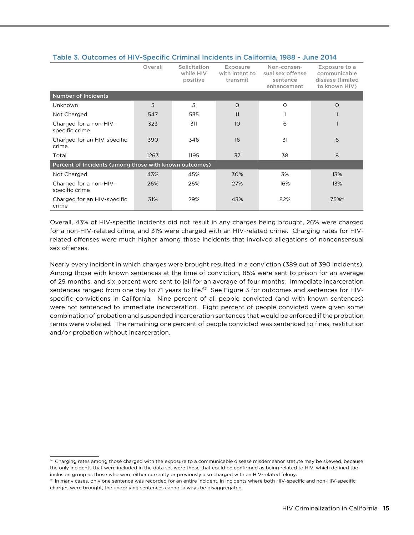|                                                        | Overall | Solicitation<br>while HIV<br>positive | Exposure<br>with intent to<br>transmit | Non-consen-<br>sual sex offense<br>sentence<br>enhancement | Exposure to a<br>communicable<br>disease (limited<br>to known HIV) |
|--------------------------------------------------------|---------|---------------------------------------|----------------------------------------|------------------------------------------------------------|--------------------------------------------------------------------|
| <b>Number of Incidents</b>                             |         |                                       |                                        |                                                            |                                                                    |
| Unknown                                                | 3       | 3                                     | $\Omega$                               | O                                                          | $\Omega$                                                           |
| Not Charged                                            | 547     | 535                                   | 11                                     |                                                            |                                                                    |
| Charged for a non-HIV-<br>specific crime               | 323     | 311                                   | 10                                     | 6                                                          | 1                                                                  |
| Charged for an HIV-specific<br>crime                   | 390     | 346                                   | 16                                     | 31                                                         | 6                                                                  |
| Total                                                  | 1263    | 1195                                  | 37                                     | 38                                                         | 8                                                                  |
| Percent of Incidents (among those with known outcomes) |         |                                       |                                        |                                                            |                                                                    |
| Not Charged                                            | 43%     | 45%                                   | 30%                                    | 3%                                                         | 13%                                                                |
| Charged for a non-HIV-<br>specific crime               | 26%     | 26%                                   | 27%                                    | 16%                                                        | 13%                                                                |
| Charged for an HIV-specific<br>crime                   | 31%     | 29%                                   | 43%                                    | 82%                                                        | 75%66                                                              |

#### Table 3. Outcomes of HIV-Specific Criminal Incidents in California, 1988 - June 2014

Overall, 43% of HIV-specific incidents did not result in any charges being brought, 26% were charged for a non-HIV-related crime, and 31% were charged with an HIV-related crime. Charging rates for HIVrelated offenses were much higher among those incidents that involved allegations of nonconsensual sex offenses.

Nearly every incident in which charges were brought resulted in a conviction (389 out of 390 incidents). Among those with known sentences at the time of conviction, 85% were sent to prison for an average of 29 months, and six percent were sent to jail for an average of four months. Immediate incarceration sentences ranged from one day to 71 years to life.<sup>67</sup> See Figure 3 for outcomes and sentences for HIVspecific convictions in California. Nine percent of all people convicted (and with known sentences) were not sentenced to immediate incarceration. Eight percent of people convicted were given some combination of probation and suspended incarceration sentences that would be enforced if the probation terms were violated. The remaining one percent of people convicted was sentenced to fines, restitution and/or probation without incarceration.

<sup>66</sup> Charging rates among those charged with the exposure to a communicable disease misdemeanor statute may be skewed, because the only incidents that were included in the data set were those that could be confirmed as being related to HIV, which defined the inclusion group as those who were either currently or previously also charged with an HIV-related felony.

<sup>67</sup> In many cases, only one sentence was recorded for an entire incident, in incidents where both HIV-specific and non-HIV-specific charges were brought, the underlying sentences cannot always be disaggregated.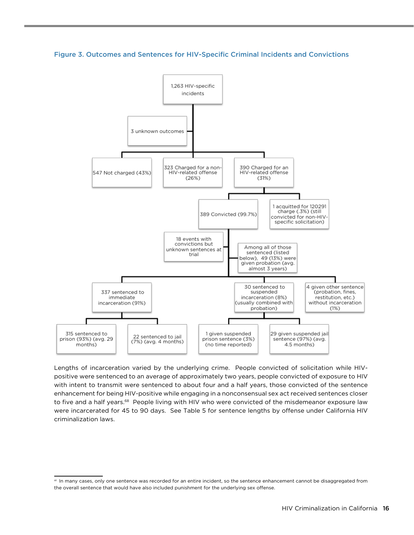Figure 3. Outcomes and Sentences for HIV-Specific Criminal Incidents and Convictions



Lengths of incarceration varied by the underlying crime. People convicted of solicitation while HIVpositive were sentenced to an average of approximately two years, people convicted of exposure to HIV with intent to transmit were sentenced to about four and a half years, those convicted of the sentence enhancement for being HIV-positive while engaging in a nonconsensual sex act received sentences closer to five and a half years.<sup>68</sup> People living with HIV who were convicted of the misdemeanor exposure law were incarcerated for 45 to 90 days. See Table 5 for sentence lengths by offense under California HIV criminalization laws.

<sup>&</sup>lt;sup>68</sup> In many cases, only one sentence was recorded for an entire incident, so the sentence enhancement cannot be disaggregated from the overall sentence that would have also included punishment for the underlying sex offense.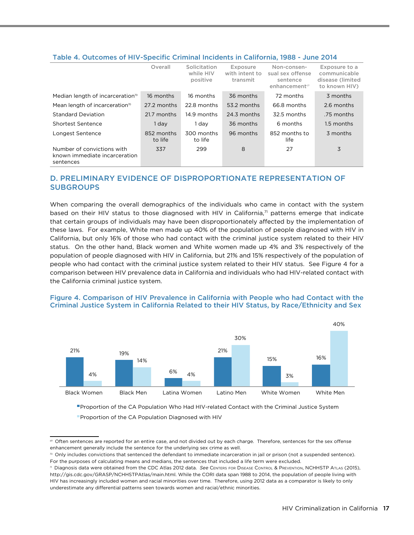#### Table 4. Outcomes of HIV-Specific Criminal Incidents in California, 1988 - June 2014

|                                                                          | Overall               | Solicitation<br>while HIV<br>positive | Exposure<br>with intent to<br>transmit | Non-consen-<br>sual sex offense<br>sentence<br>enhancement <sup>69</sup> | Exposure to a<br>communicable<br>disease (limited<br>to known HIV) |
|--------------------------------------------------------------------------|-----------------------|---------------------------------------|----------------------------------------|--------------------------------------------------------------------------|--------------------------------------------------------------------|
| Median length of incarceration <sup>70</sup>                             | 16 months             | 16 months                             | 36 months                              | 72 months                                                                | 3 months                                                           |
| Mean length of incarceration <sup>70</sup>                               | 27.2 months           | 22.8 months                           | 53.2 months                            | 66.8 months                                                              | 2.6 months                                                         |
| <b>Standard Deviation</b>                                                | 21.7 months           | 14.9 months                           | 24.3 months                            | 32.5 months                                                              | .75 months                                                         |
| Shortest Sentence                                                        | 1 day                 | 1 dav                                 | 36 months                              | 6 months                                                                 | 1.5 months                                                         |
| Longest Sentence                                                         | 852 months<br>to life | 300 months<br>to life                 | 96 months                              | 852 months to<br>life                                                    | 3 months                                                           |
| Number of convictions with<br>known immediate incarceration<br>sentences | 337                   | 299                                   | 8                                      | 27                                                                       | 3                                                                  |

## D. PRELIMINARY EVIDENCE OF DISPROPORTIONATE REPRESENTATION OF **SUBGROUPS**

When comparing the overall demographics of the individuals who came in contact with the system based on their HIV status to those diagnosed with HIV in California, $\eta$  patterns emerge that indicate that certain groups of individuals may have been disproportionately affected by the implementation of these laws. For example, White men made up 40% of the population of people diagnosed with HIV in California, but only 16% of those who had contact with the criminal justice system related to their HIV status. On the other hand, Black women and White women made up 4% and 3% respectively of the population of people diagnosed with HIV in California, but 21% and 15% respectively of the population of people who had contact with the criminal justice system related to their HIV status. See Figure 4 for a comparison between HIV prevalence data in California and individuals who had HIV-related contact with the California criminal justice system.

#### Figure 4. Comparison of HIV Prevalence in California with People who had Contact with the Criminal Justice System in California Related to their HIV Status, by Race/Ethnicity and Sex



Proportion of the CA Population Who Had HIV-related Contact with the Criminal Justice System Proportion of the CA Population Diagnosed with HIV

<sup>69</sup> Often sentences are reported for an entire case, and not divided out by each charge. Therefore, sentences for the sex offense enhancement generally include the sentence for the underlying sex crime as well.

 $\infty$  Only includes convictions that sentenced the defendant to immediate incarceration in jail or prison (not a suspended sentence). For the purposes of calculating means and medians, the sentences that included a life term were excluded.

<sup>71</sup> Diagnosis data were obtained from the CDC Atlas 2012 data. *See* Centers for Disease Control & Prevention, NCHHSTP Atlas (2015), [http://gis.cdc.gov/GRASP/NCHHSTPAtlas/main.html.](http://gis.cdc.gov/GRASP/NCHHSTPAtlas/main.html) While the CORI data span 1988 to 2014, the population of people living with HIV has increasingly included women and racial minorities over time. Therefore, using 2012 data as a comparator is likely to only underestimate any differential patterns seen towards women and racial/ethnic minorities.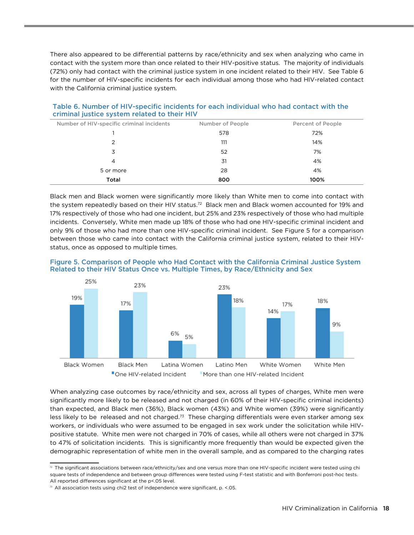There also appeared to be differential patterns by race/ethnicity and sex when analyzing who came in contact with the system more than once related to their HIV-positive status. The majority of individuals (72%) only had contact with the criminal justice system in one incident related to their HIV. See Table 6 for the number of HIV-specific incidents for each individual among those who had HIV-related contact with the California criminal justice system.

| Number of HIV-specific criminal incidents | Number of People | Percent of People |  |  |  |
|-------------------------------------------|------------------|-------------------|--|--|--|
|                                           | 578              | 72%               |  |  |  |
| 2                                         | 111              | 14%               |  |  |  |
| 3                                         | 52               | 7%                |  |  |  |
| 4                                         | 31               | 4%                |  |  |  |
| 5 or more                                 | 28               | 4%                |  |  |  |
| Total                                     | 800              | 100%              |  |  |  |

Table 6. Number of HIV-specific incidents for each individual who had contact with the criminal justice system related to their HIV

Black men and Black women were significantly more likely than White men to come into contact with the system repeatedly based on their HIV status.<sup>72</sup> Black men and Black women accounted for 19% and 17% respectively of those who had one incident, but 25% and 23% respectively of those who had multiple incidents. Conversely, White men made up 18% of those who had one HIV-specific criminal incident and only 9% of those who had more than one HIV-specific criminal incident. See Figure 5 for a comparison between those who came into contact with the California criminal justice system, related to their HIVstatus, once as opposed to multiple times.





When analyzing case outcomes by race/ethnicity and sex, across all types of charges, White men were significantly more likely to be released and not charged (in 60% of their HIV-specific criminal incidents) than expected, and Black men (36%), Black women (43%) and White women (39%) were significantly less likely to be released and not charged.<sup>73</sup> These charging differentials were even starker among sex workers, or individuals who were assumed to be engaged in sex work under the solicitation while HIVpositive statute. White men were not charged in 70% of cases, while all others were not charged in 37% to 47% of solicitation incidents. This is significantly more frequently than would be expected given the demographic representation of white men in the overall sample, and as compared to the charging rates

 $^n$  The significant associations between race/ethnicity/sex and one versus more than one HIV-specific incident were tested using chi square tests of independence and between group differences were tested using F-test statistic and with Bonferroni post-hoc tests. All reported differences significant at the p<.05 level.

 $73$  All association tests using chi2 test of independence were significant, p.  $\leq$  05.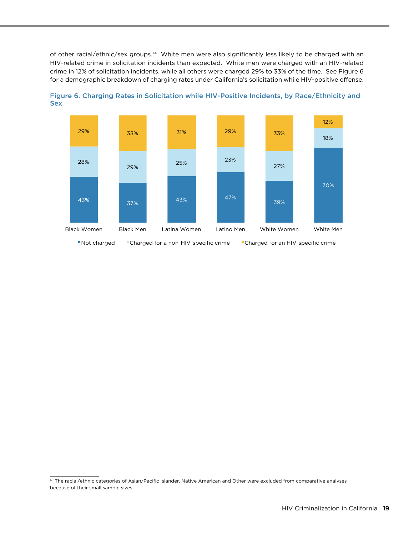of other racial/ethnic/sex groups.74 White men were also significantly less likely to be charged with an HIV-related crime in solicitation incidents than expected. White men were charged with an HIV-related crime in 12% of solicitation incidents, while all others were charged 29% to 33% of the time. See Figure 6 for a demographic breakdown of charging rates under California's solicitation while HIV-positive offense.



Figure 6. Charging Rates in Solicitation while HIV-Positive Incidents, by Race/Ethnicity and Sex

<sup>74</sup> The racial/ethnic categories of Asian/Pacific Islander, Native American and Other were excluded from comparative analyses because of their small sample sizes.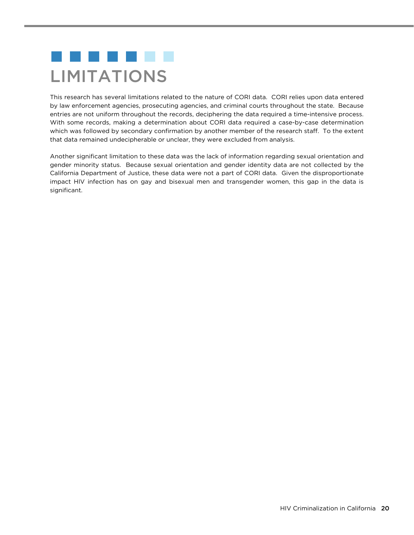# . . . . . . . LIMITATIONS

This research has several limitations related to the nature of CORI data. CORI relies upon data entered by law enforcement agencies, prosecuting agencies, and criminal courts throughout the state. Because entries are not uniform throughout the records, deciphering the data required a time-intensive process. With some records, making a determination about CORI data required a case-by-case determination which was followed by secondary confirmation by another member of the research staff. To the extent that data remained undecipherable or unclear, they were excluded from analysis.

Another significant limitation to these data was the lack of information regarding sexual orientation and gender minority status. Because sexual orientation and gender identity data are not collected by the California Department of Justice, these data were not a part of CORI data. Given the disproportionate impact HIV infection has on gay and bisexual men and transgender women, this gap in the data is significant.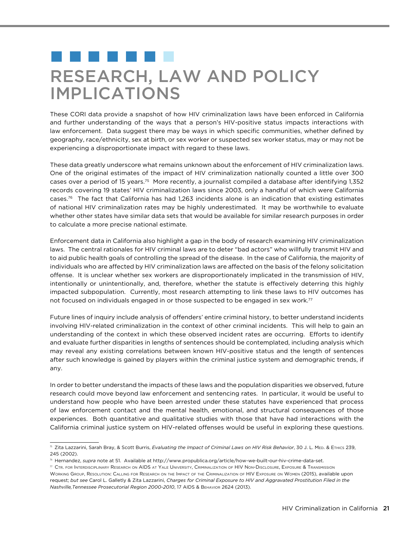# . . . . . . . RESEARCH, LAW AND POLICY IMPLICATIONS

These CORI data provide a snapshot of how HIV criminalization laws have been enforced in California and further understanding of the ways that a person's HIV-positive status impacts interactions with law enforcement. Data suggest there may be ways in which specific communities, whether defined by geography, race/ethnicity, sex at birth, or sex worker or suspected sex worker status, may or may not be experiencing a disproportionate impact with regard to these laws.

These data greatly underscore what remains unknown about the enforcement of HIV criminalization laws. One of the original estimates of the impact of HIV criminalization nationally counted a little over 300 cases over a period of 15 years.75 More recently, a journalist compiled a database after identifying 1,352 records covering 19 states' HIV criminalization laws since 2003, only a handful of which were California cases.76 The fact that California has had 1,263 incidents alone is an indication that existing estimates of national HIV criminalization rates may be highly underestimated. It may be worthwhile to evaluate whether other states have similar data sets that would be available for similar research purposes in order to calculate a more precise national estimate.

Enforcement data in California also highlight a gap in the body of research examining HIV criminalization laws. The central rationales for HIV criminal laws are to deter "bad actors" who willfully transmit HIV and to aid public health goals of controlling the spread of the disease. In the case of California, the majority of individuals who are affected by HIV criminalization laws are affected on the basis of the felony solicitation offense. It is unclear whether sex workers are disproportionately implicated in the transmission of HIV, intentionally or unintentionally, and, therefore, whether the statute is effectively deterring this highly impacted subpopulation. Currently, most research attempting to link these laws to HIV outcomes has not focused on individuals engaged in or those suspected to be engaged in sex work.<sup>77</sup>

Future lines of inquiry include analysis of offenders' entire criminal history, to better understand incidents involving HIV-related criminalization in the context of other criminal incidents. This will help to gain an understanding of the context in which these observed incident rates are occurring. Efforts to identify and evaluate further disparities in lengths of sentences should be contemplated, including analysis which may reveal any existing correlations between known HIV-positive status and the length of sentences after such knowledge is gained by players within the criminal justice system and demographic trends, if any.

In order to better understand the impacts of these laws and the population disparities we observed, future research could move beyond law enforcement and sentencing rates. In particular, it would be useful to understand how people who have been arrested under these statutes have experienced that process of law enforcement contact and the mental health, emotional, and structural consequences of those experiences. Both quantitative and qualitative studies with those that have had interactions with the California criminal justice system on HIV-related offenses would be useful in exploring these questions.

<sup>&</sup>lt;sup>75</sup> Zita Lazzarini, Sarah Bray, & Scott Burris, *Evaluating the Impact of Criminal Laws on HIV Risk Behavior*, 30 J. L. MED. & ETHICS 239, 245 (2002).

<sup>76</sup> Hernandez, *supra* note at 51. Available at <http://www.propublica.org/article/how-we-built-our-hiv-crime-data-set>.

 $^{\eta}$  Ctr. for Interdisciplinary Research on AIDS at Yale University, Criminalization of HIV Non-Disclosure, Exposure & Transmission Working Group, Resolution: Calling for Research on the Impact of the Criminalization of HIV Exposure on Women (2015), available upon request; *but see* Carol L. Galletly & Zita Lazzarini, *Charges for Criminal Exposure to HIV and Aggravated Prostitution Filed in the Nashville,Tennessee Prosecutorial Region 2000-2010*, 17 AIDS & Behavior 2624 (2013).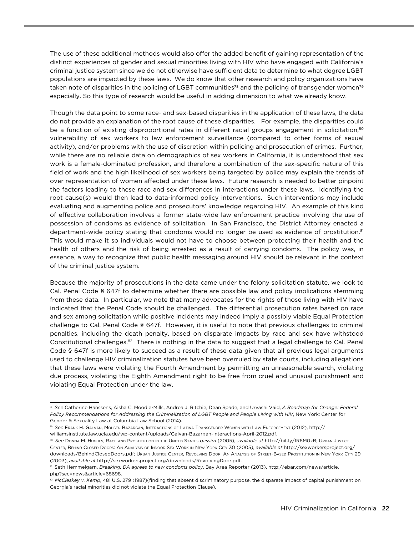The use of these additional methods would also offer the added benefit of gaining representation of the distinct experiences of gender and sexual minorities living with HIV who have engaged with California's criminal justice system since we do not otherwise have sufficient data to determine to what degree LGBT populations are impacted by these laws. We do know that other research and policy organizations have taken note of disparities in the policing of LGBT communities<sup>78</sup> and the policing of transgender women<sup>79</sup> especially. So this type of research would be useful in adding dimension to what we already know.

Though the data point to some race- and sex-based disparities in the application of these laws, the data do not provide an explanation of the root cause of these disparities. For example, the disparities could be a function of existing disproportional rates in different racial groups engagement in solicitation,<sup>80</sup> vulnerability of sex workers to law enforcement surveillance (compared to other forms of sexual activity), and/or problems with the use of discretion within policing and prosecution of crimes. Further, while there are no reliable data on demographics of sex workers in California, it is understood that sex work is a female-dominated profession, and therefore a combination of the sex-specific nature of this field of work and the high likelihood of sex workers being targeted by police may explain the trends of over representation of women affected under these laws. Future research is needed to better pinpoint the factors leading to these race and sex differences in interactions under these laws. Identifying the root cause(s) would then lead to data-informed policy interventions. Such interventions may include evaluating and augmenting police and prosecutors' knowledge regarding HIV. An example of this kind of effective collaboration involves a former state-wide law enforcement practice involving the use of possession of condoms as evidence of solicitation. In San Francisco, the District Attorney enacted a department-wide policy stating that condoms would no longer be used as evidence of prostitution.<sup>81</sup> This would make it so individuals would not have to choose between protecting their health and the health of others and the risk of being arrested as a result of carrying condoms. The policy was, in essence, a way to recognize that public health messaging around HIV should be relevant in the context of the criminal justice system.

Because the majority of prosecutions in the data came under the felony solicitation statute, we look to Cal. Penal Code § 647f to determine whether there are possible law and policy implications stemming from these data. In particular, we note that many advocates for the rights of those living with HIV have indicated that the Penal Code should be challenged. The differential prosecution rates based on race and sex among solicitation while positive incidents may indeed imply a possibly viable Equal Protection challenge to Cal. Penal Code § 647f. However, it is useful to note that previous challenges to criminal penalties, including the death penalty, based on disparate impacts by race and sex have withstood Constitutional challenges.82 There is nothing in the data to suggest that a legal challenge to Cal. Penal Code § 647f is more likely to succeed as a result of these data given that all previous legal arguments used to challenge HIV criminalization statutes have been overruled by state courts, including allegations that these laws were violating the Fourth Amendment by permitting an unreasonable search, violating due process, violating the Eighth Amendment right to be free from cruel and unusual punishment and violating Equal Protection under the law.

<sup>78</sup> *See* Catherine Hanssens, Aisha C. Moodie-Mills, Andrea J. Ritchie, Dean Spade, and Urvashi Vaid, *A Roadmap for Change: Federal Policy Recommendations for Addressing the Criminalization of LGBT People and People Living with HIV*, New York: Center for Gender & Sexuality Law at Columbia Law School (2014).

<sup>79</sup> *See* Frank H. Galvan, Mohsen Bazargan, Interactions of Latina Transgender Women with Law Enforcement (2012), [http://](http://williamsinstitute.law.ucla.edu/wp-content/uploads/Galvan-Bazargan-Interactions-April-2012.pdf) [williamsinstitute.law.ucla.edu/wp-content/uploads/Galvan-Bazargan-Interactions-April-2012.pdf.](http://williamsinstitute.law.ucla.edu/wp-content/uploads/Galvan-Bazargan-Interactions-April-2012.pdf)

<sup>80</sup> *See* Donna M. Hughes, Race and Prostitution in the United States *passim* (2005), *available at* [http://bit.ly/1R6M0zB;](http://bit.ly/1R6M0zB) Urban Justice Center, Behind Closed Doors: An Analysis of Indoor Sex Work in New York City 30 (2005), *available at* [http://sexworkersproject.org/](http://sexworkersproject.org/downloads/BehindClosedDoors.pdf) [downloads/BehindClosedDoors.pdf](http://sexworkersproject.org/downloads/BehindClosedDoors.pdf); Urban Justice Center, Revolving Door: An Analysis of Street-Based Prostitution in New York City 29 (2003), *available at* [http://sexworkersproject.org/downloads/RevolvingDoor.pdf.](http://sexworkersproject.org/downloads/RevolvingDoor.pdf)

<sup>81</sup> Seth Hemmelgarn, *Breaking: DA agrees to new condoms policy*. Bay Area Reporter (2013), [http://ebar.com/news/article.](http://ebar.com/news/article.php?sec=news&article=68698) [php?sec=news&article=68698.](http://ebar.com/news/article.php?sec=news&article=68698)

<sup>82</sup> *McCleskey v. Kemp*, 481 U.S. 279 (1987)(finding that absent discriminatory purpose, the disparate impact of capital punishment on Georgia's racial minorities did not violate the Equal Protection Clause).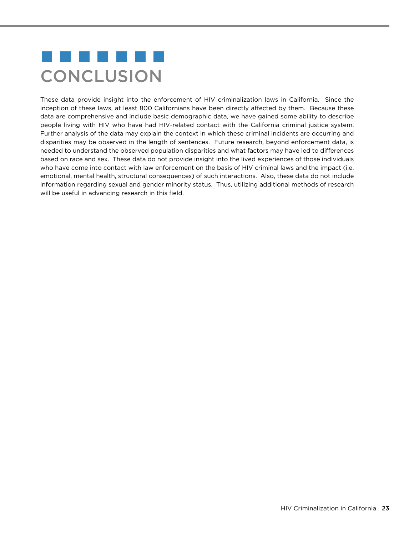# a kacamatan ing Kabupatèn Kabupatèn Kabupatèn Kabupatèn Kabupatèn Kabupatèn Kabupatèn Kabupatèn Kabupatèn Kabu **CONCLUSION**

These data provide insight into the enforcement of HIV criminalization laws in California. Since the inception of these laws, at least 800 Californians have been directly affected by them. Because these data are comprehensive and include basic demographic data, we have gained some ability to describe people living with HIV who have had HIV-related contact with the California criminal justice system. Further analysis of the data may explain the context in which these criminal incidents are occurring and disparities may be observed in the length of sentences. Future research, beyond enforcement data, is needed to understand the observed population disparities and what factors may have led to differences based on race and sex. These data do not provide insight into the lived experiences of those individuals who have come into contact with law enforcement on the basis of HIV criminal laws and the impact (i.e. emotional, mental health, structural consequences) of such interactions. Also, these data do not include information regarding sexual and gender minority status. Thus, utilizing additional methods of research will be useful in advancing research in this field.